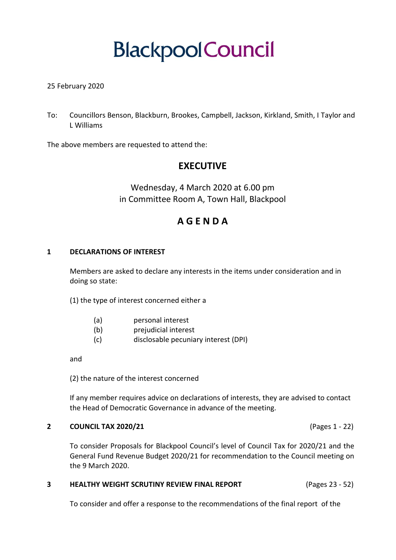# **BlackpoolCouncil**

#### 25 February 2020

To: Councillors Benson, Blackburn, Brookes, Campbell, Jackson, Kirkland, Smith, I Taylor and L Williams

The above members are requested to attend the:

### **EXECUTIVE**

Wednesday, 4 March 2020 at 6.00 pm in Committee Room A, Town Hall, Blackpool

## **A G E N D A**

#### **1 DECLARATIONS OF INTEREST**

Members are asked to declare any interests in the items under consideration and in doing so state:

(1) the type of interest concerned either a

- (a) personal interest
- (b) prejudicial interest
- (c) disclosable pecuniary interest (DPI)

and

(2) the nature of the interest concerned

If any member requires advice on declarations of interests, they are advised to contact the Head of Democratic Governance in advance of the meeting.

#### **2 COUNCIL TAX 2020/21** (Pages 1 - 22)

To consider Proposals for Blackpool Council's level of Council Tax for 2020/21 and the General Fund Revenue Budget 2020/21 for recommendation to the Council meeting on the 9 March 2020.

#### **3 HEALTHY WEIGHT SCRUTINY REVIEW FINAL REPORT** (Pages 23 - 52)

To consider and offer a response to the recommendations of the final report of the